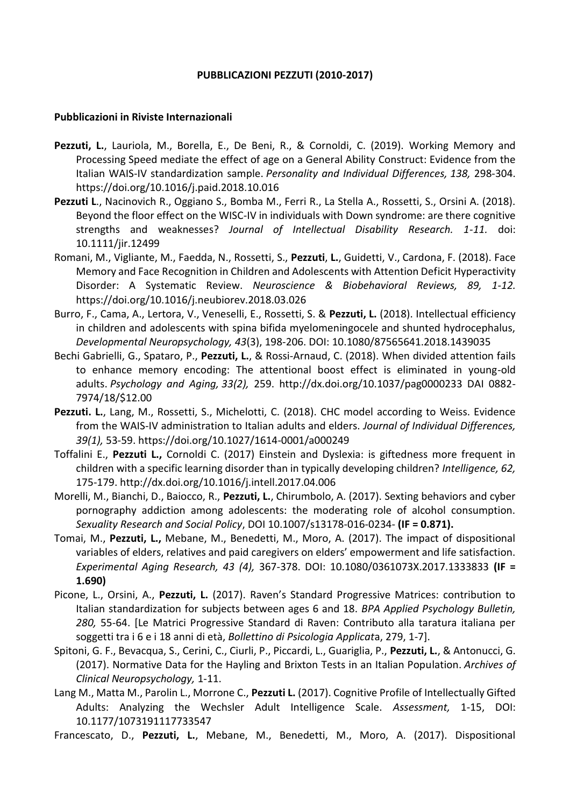## **PUBBLICAZIONI PEZZUTI (2010-2017)**

## **Pubblicazioni in Riviste Internazionali**

- Pezzuti, L., Lauriola, M., Borella, E., De Beni, R., & Cornoldi, C. (2019). Working Memory and Processing Speed mediate the effect of age on a General Ability Construct: Evidence from the Italian WAIS-IV standardization sample. *Personality and Individual Differences, 138,* 298-304. <https://doi.org/10.1016/j.paid.2018.10.016>
- **Pezzuti L**., Nacinovich R., Oggiano S., Bomba M., Ferri R., La Stella A., Rossetti, S., Orsini A. (2018). Beyond the floor effect on the WISC-IV in individuals with Down syndrome: are there cognitive strengths and weaknesses? *Journal of Intellectual Disability Research. 1-11.* doi: 10.1111/jir.12499
- Romani, M., Vigliante, M., Faedda, N., Rossetti, S., **Pezzuti**, **L.**, Guidetti, V., Cardona, F. (2018). Face Memory and Face Recognition in Children and Adolescents with Attention Deficit Hyperactivity Disorder: A Systematic Review. *Neuroscience & Biobehavioral Reviews, 89, 1-12.*  https://doi.org/10.1016/j.neubiorev.2018.03.026
- Burro, F., Cama, A., Lertora, V., Veneselli, E., Rossetti, S. & **Pezzuti, L.** (2018). Intellectual efficiency in children and adolescents with spina bifida myelomeningocele and shunted hydrocephalus, *Developmental Neuropsychology, 43*(3), 198-206. DOI: 10.1080/87565641.2018.1439035
- Bechi Gabrielli, G., Spataro, P., **Pezzuti, L.**, & Rossi-Arnaud, C. (2018). When divided attention fails to enhance memory encoding: The attentional boost effect is eliminated in young-old adults. *Psychology and Aging, 33(2),* 259. http://dx.doi.org/10.1037/pag0000233 DAI 0882- 7974/18/\$12.00
- Pezzuti. L., Lang, M., Rossetti, S., Michelotti, C. (2018). CHC model according to Weiss. Evidence from the WAIS-IV administration to Italian adults and elders. *Journal of Individual Differences, 39(1),* 53-59.<https://doi.org/10.1027/1614-0001/a000249>
- Toffalini E., **Pezzuti L.,** Cornoldi C. (2017) Einstein and Dyslexia: is giftedness more frequent in children with a specific learning disorder than in typically developing children? *Intelligence, 62,*  175-179.<http://dx.doi.org/10.1016/j.intell.2017.04.006>
- Morelli, M., Bianchi, D., Baiocco, R., **Pezzuti, L.**, Chirumbolo, A. (2017). Sexting behaviors and cyber pornography addiction among adolescents: the moderating role of alcohol consumption. *Sexuality Research and Social Policy*, DOI 10.1007/s13178-016-0234- **(IF = 0.871).**
- Tomai, M., **Pezzuti, L.,** Mebane, M., Benedetti, M., Moro, A. (2017). The impact of dispositional variables of elders, relatives and paid caregivers on elders' empowerment and life satisfaction. *Experimental Aging Research, 43 (4),* 367-378. DOI: 10.1080/0361073X.2017.1333833 **(IF = 1.690)**
- Picone, L., Orsini, A., **Pezzuti, L.** (2017). Raven's Standard Progressive Matrices: contribution to Italian standardization for subjects between ages 6 and 18. *BPA Applied Psychology Bulletin, 280,* 55-64. [Le Matrici Progressive Standard di Raven: Contributo alla taratura italiana per soggetti tra i 6 e i 18 anni di età, *Bollettino di Psicologia Applicat*a, 279, 1-7].
- Spitoni, G. F., Bevacqua, S., Cerini, C., Ciurli, P., Piccardi, L., Guariglia, P., **Pezzuti, L.**, & Antonucci, G. (2017). Normative Data for the Hayling and Brixton Tests in an Italian Population. *Archives of Clinical Neuropsychology,* 1-11.
- Lang M., Matta M., Parolin L., Morrone C., **Pezzuti L.** (2017). Cognitive Profile of Intellectually Gifted Adults: Analyzing the Wechsler Adult Intelligence Scale. *Assessment,* 1-15, DOI: 10.1177/1073191117733547
- Francescato, D., **Pezzuti, L.**, Mebane, M., Benedetti, M., Moro, A. (2017). Dispositional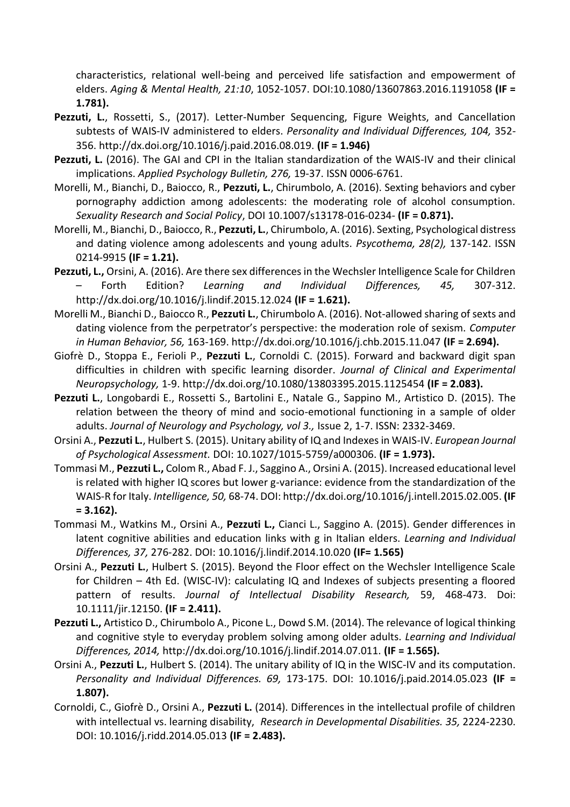characteristics, relational well-being and perceived life satisfaction and empowerment of elders. *Aging & Mental Health, 21:10*, 1052-1057. DOI:10.1080/13607863.2016.1191058 **(IF = 1.781).**

- Pezzuti, L., Rossetti, S., (2017). Letter-Number Sequencing, Figure Weights, and Cancellation subtests of WAIS-IV administered to elders. *Personality and Individual Differences, 104,* 352- 356. http://dx.doi.org/10.1016/j.paid.2016.08.019. **(IF = 1.946)**
- **Pezzuti, L.** (2016). The GAI and CPI in the Italian standardization of the WAIS-IV and their clinical implications. *Applied Psychology Bulletin, 276,* 19-37. ISSN 0006-6761.
- Morelli, M., Bianchi, D., Baiocco, R., **Pezzuti, L.**, Chirumbolo, A. (2016). Sexting behaviors and cyber pornography addiction among adolescents: the moderating role of alcohol consumption. *Sexuality Research and Social Policy*, DOI 10.1007/s13178-016-0234- **(IF = 0.871).**
- Morelli, M., Bianchi, D., Baiocco, R., **Pezzuti, L.**, Chirumbolo, A. (2016). Sexting, Psychological distress and dating violence among adolescents and young adults. *Psycothema, 28(2),* 137-142. ISSN 0214-9915 **(IF = 1.21).**
- **Pezzuti, L.,** Orsini, A. (2016). Are there sex differences in the Wechsler Intelligence Scale for Children – Forth Edition? *Learning and Individual Differences, 45,* 307-312. http://dx.doi.org/10.1016/j.lindif.2015.12.024 **(IF = 1.621).**
- Morelli M., Bianchi D., Baiocco R., **Pezzuti L.**, Chirumbolo A. (2016). Not-allowed sharing of sexts and dating violence from the perpetrator's perspective: the moderation role of sexism. *Computer in Human Behavior, 56,* 163-169[. http://dx.doi.org/10.1016/j.chb.2015.11.047](http://dx.doi.org/10.1016/j.chb.2015.11.047) **(IF = 2.694).**
- Giofrè D., Stoppa E., Ferioli P., **Pezzuti L.**, Cornoldi C. (2015). Forward and backward digit span difficulties in children with specific learning disorder. *Journal of Clinical and Experimental Neuropsychology,* 1-9. <http://dx.doi.org/10.1080/13803395.2015.1125454> **(IF = 2.083).**
- **Pezzuti L.**, Longobardi E., Rossetti S., Bartolini E., Natale G., Sappino M., Artistico D. (2015). The relation between the theory of mind and socio-emotional functioning in a sample of older adults. *Journal of Neurology and Psychology, vol 3.,* Issue 2, 1-7. ISSN: 2332-3469.
- Orsini A., **Pezzuti L.**, Hulbert S. (2015). Unitary ability of IQ and Indexes in WAIS-IV. *European Journal of Psychological Assessment.* DOI: 10.1027/1015-5759/a000306. **(IF = 1.973).**
- Tommasi M., **Pezzuti L.,** Colom R., Abad F. J., Saggino A., Orsini A. (2015). Increased educational level is related with higher IQ scores but lower g-variance: evidence from the standardization of the WAIS-R for Italy. *Intelligence, 50,* 68-74. DOI[: http://dx.doi.org/10.1016/j.intell.2015.02.005.](http://dx.doi.org/10.1016/j.intell.2015.02.005) **(IF = 3.162).**
- Tommasi M., Watkins M., Orsini A., **Pezzuti L.,** Cianci L., Saggino A. (2015). Gender differences in latent cognitive abilities and education links with g in Italian elders. *Learning and Individual Differences, 37,* 276-282. DOI: 10.1016/j.lindif.2014.10.020 **(IF= 1.565)**
- Orsini A., **Pezzuti L.**, Hulbert S. (2015). Beyond the Floor effect on the Wechsler Intelligence Scale for Children – 4th Ed. (WISC-IV): calculating IQ and Indexes of subjects presenting a floored pattern of results. *Journal of Intellectual Disability Research,* 59, 468-473. Doi: 10.1111/jir.12150. **(IF = 2.411).**
- **Pezzuti L.,** Artistico D., Chirumbolo A., Picone L., Dowd S.M. (2014). The relevance of logical thinking and cognitive style to everyday problem solving among older adults. *Learning and Individual Differences, 2014,* http://dx.doi.org/10.1016/j.lindif.2014.07.011. **(IF = 1.565).**
- Orsini A., **Pezzuti L.**, Hulbert S. (2014). The unitary ability of IQ in the WISC-IV and its computation. *Personality and Individual Differences. 69,* 173-175. DOI: 10.1016/j.paid.2014.05.023 **(IF = 1.807).**
- Cornoldi, C., Giofrè D., Orsini A., **Pezzuti L.** (2014). Differences in the intellectual profile of children with intellectual vs. learning disability, *Research in Developmental Disabilities. 35,* 2224-2230. DOI: 10.1016/j.ridd.2014.05.013 **(IF = 2.483).**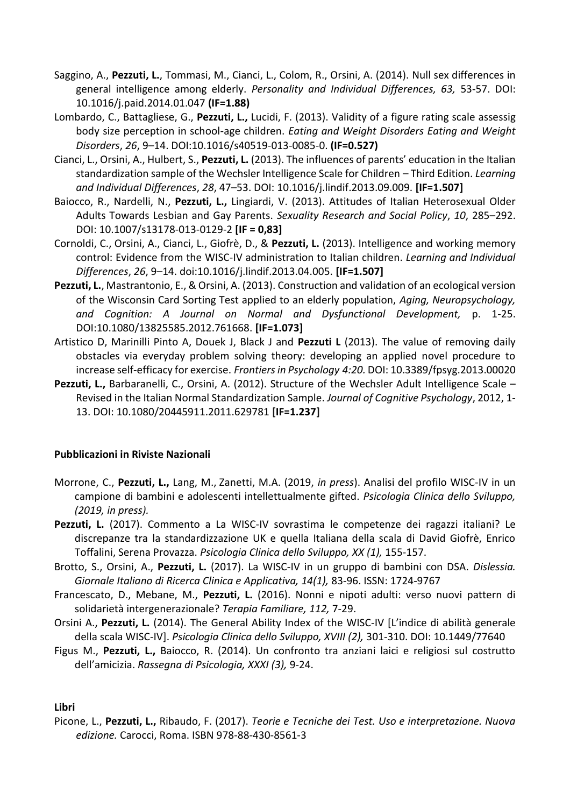- Saggino, A., **Pezzuti, L.**, Tommasi, M., Cianci, L., Colom, R., Orsini, A. (2014). Null sex differences in general intelligence among elderly. *Personality and Individual Differences, 63,* 53-57. DOI: 10.1016/j.paid.2014.01.047 **(IF=1.88)**
- Lombardo, C., Battagliese, G., **Pezzuti, L.,** Lucidi, F. (2013). Validity of a figure rating scale assessig body size perception in school-age children. *Eating and Weight Disorders Eating and Weight Disorders*, *26*, 9–14. DOI:10.1016/s40519-013-0085-0. **(IF=0.527)**
- Cianci, L., Orsini, A., Hulbert, S., **Pezzuti, L.** (2013). The influences of parents' education in the Italian standardization sample of the Wechsler Intelligence Scale for Children – Third Edition. *Learning and Individual Differences*, *28*, 47–53. DOI: 10.1016/j.lindif.2013.09.009. **[IF=1.507]**
- Baiocco, R., Nardelli, N., **Pezzuti, L.,** Lingiardi, V. (2013). Attitudes of Italian Heterosexual Older Adults Towards Lesbian and Gay Parents. *Sexuality Research and Social Policy*, *10*, 285–292. DOI: 10.1007/s13178-013-0129-2 **[IF = 0,83]**
- Cornoldi, C., Orsini, A., Cianci, L., Giofrè, D., & **Pezzuti, L.** (2013). Intelligence and working memory control: Evidence from the WISC-IV administration to Italian children. *Learning and Individual Differences*, *26*, 9–14. doi:10.1016/j.lindif.2013.04.005. **[IF=1.507]**
- **Pezzuti, L.**, Mastrantonio, E., & Orsini, A. (2013). Construction and validation of an ecological version of the Wisconsin Card Sorting Test applied to an elderly population, *Aging, Neuropsychology, and Cognition: A Journal on Normal and Dysfunctional Development,* p. 1-25. DOI:10.1080/13825585.2012.761668. **[IF=1.073]**
- Artistico D, Marinilli Pinto A, Douek J, Black J and **Pezzuti L** (2013). The value of removing daily obstacles via everyday problem solving theory: developing an applied novel procedure to increase self-efficacy for exercise. *Frontiers in Psychology 4:20.* DOI: 10.3389/fpsyg.2013.00020
- **Pezzuti, L.,** Barbaranelli, C., Orsini, A. (2012). Structure of the Wechsler Adult Intelligence Scale Revised in the Italian Normal Standardization Sample. *Journal of Cognitive Psychology*, 2012, 1- 13. DOI: 10.1080/20445911.2011.629781 **[IF=1.237]**

# **Pubblicazioni in Riviste Nazionali**

- Morrone, C., **Pezzuti, L.,** Lang, M., Zanetti, M.A. (2019, *in press*). Analisi del profilo WISC-IV in un campione di bambini e adolescenti intellettualmente gifted. *Psicologia Clinica dello Sviluppo, (2019, in press).*
- Pezzuti, L. (2017). Commento a La WISC-IV sovrastima le competenze dei ragazzi italiani? Le discrepanze tra la standardizzazione UK e quella Italiana della scala di David Giofrè, Enrico Toffalini, Serena Provazza. *Psicologia Clinica dello Sviluppo, XX (1),* 155-157.
- Brotto, S., Orsini, A., **Pezzuti, L.** (2017). La WISC-IV in un gruppo di bambini con DSA. *Dislessia. Giornale Italiano di Ricerca Clinica e Applicativa, 14(1),* 83-96. ISSN: 1724-9767
- Francescato, D., Mebane, M., **Pezzuti, L.** (2016). Nonni e nipoti adulti: verso nuovi pattern di solidarietà intergenerazionale? *Terapia Familiare, 112,* 7-29.
- Orsini A., **Pezzuti, L.** (2014). The General Ability Index of the WISC-IV [L'indice di abilità generale della scala WISC-IV]. *Psicologia Clinica dello Sviluppo, XVIII (2),* 301-310. DOI: [10.1449/77640](http://dx.doi.org/10.1449%2F77640)
- Figus M., **Pezzuti, L.,** Baiocco, R. (2014). Un confronto tra anziani laici e religiosi sul costrutto dell'amicizia. *Rassegna di Psicologia, XXXI (3),* 9-24.

# **Libri**

Picone, L., **Pezzuti, L.,** Ribaudo, F. (2017). *Teorie e Tecniche dei Test. Uso e interpretazione. Nuova edizione.* Carocci, Roma. ISBN 978-88-430-8561-3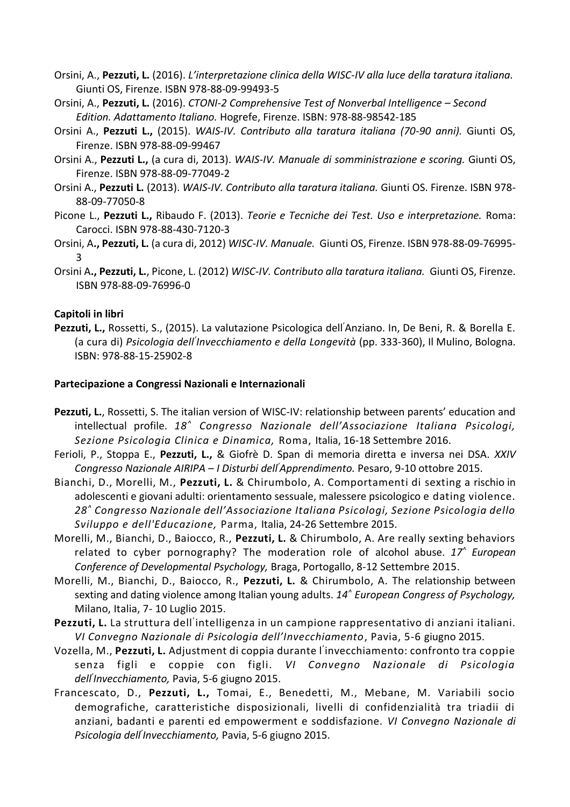- Orsini, A., **Pezzuti, L.** (2016). *L'interpretazione clinica della WISC-IV alla luce della taratura italiana.* Giunti OS, Firenze. ISBN 978-88-09-99493-5
- Orsini, A., **Pezzuti, L.** (2016). *CTONI-2 Comprehensive Test of Nonverbal Intelligence – Second Edition. Adattamento Italiano.* Hogrefe, Firenze. ISBN: 978-88-98542-185
- Orsini A., **Pezzuti L.,** (2015). *WAIS-IV. Contributo alla taratura italiana (70-90 anni).* Giunti OS, Firenze. ISBN 978-88-09-99467
- Orsini A., **Pezzuti L.,** (a cura di, 2013). *WAIS-IV. Manuale di somministrazione e scoring.* Giunti OS, Firenze. ISBN 978-88-09-77049-2
- Orsini A., **Pezzuti L.** (2013). *WAIS-IV. Contributo alla taratura italiana.* Giunti OS. Firenze. ISBN 978- 88-09-77050-8
- Picone L., **Pezzuti L.,** Ribaudo F. (2013). *Teorie e Tecniche dei Test. Uso e interpretazione.* Roma: Carocci. ISBN 978-88-430-7120-3
- Orsini, A**., Pezzuti, L.** (a cura di, 2012) *WISC-IV. Manuale.* Giunti OS, Firenze. ISBN 978-88-09-76995- 3
- Orsini A**., Pezzuti, L.**, Picone, L. (2012) *WISC-IV. Contributo alla taratura italiana.* Giunti OS, Firenze. ISBN 978-88-09-76996-0

## **Capitoli in libri**

**Pezzuti, L.,** Rossetti, S., (2015). La valutazione Psicologica dell'Anziano. In, De Beni, R. & Borella E. (a cura di) *Psicologia dell' Invecchiamento e della Longevità* (pp. 333-360), Il Mulino, Bologna. ISBN: 978-88-15-25902-8

### **Partecipazione a Congressi Nazionali e Internazionali**

- **Pezzuti, L.**, Rossetti, S. The italian version of WISC-IV: relationship between parents' education and intellectual profile. *18^ Congresso Nazionale dell'Associazione Italiana Psicologi, Sezione Psicologia Clinica e Dinamica,* Roma, Italia, 16-18 Settembre 2016.
- Ferioli, P., Stoppa E., **Pezzuti, L.,** & Giofrè D. Span di memoria diretta e inversa nei DSA. *XXIV Congresso Nazionale AIRIPA – I Disturbi dell'Apprendimento.* Pesaro, 9-10 ottobre 2015.
- Bianchi, D., Morelli, M., **Pezzuti, L.** & Chirumbolo, A. Comportamenti di sexting a rischio in adolescenti e giovani adulti: orientamento sessuale, malessere psicologico e dating violence. *28^ Congresso Nazionale dell'Associazione Italiana Psicologi, Sezione Psicologia dello Sviluppo e dell'Educazione,* Parma, Italia, 24-26 Settembre 2015.
- Morelli, M., Bianchi, D., Baiocco, R., **Pezzuti, L.** & Chirumbolo, A. Are really sexting behaviors related to cyber pornography? The moderation role of alcohol abuse. *17^ European Conference of Developmental Psychology,* Braga, Portogallo, 8-12 Settembre 2015.
- Morelli, M., Bianchi, D., Baiocco, R., **Pezzuti, L.** & Chirumbolo, A. The relationship between sexting and dating violence among Italian young adults. *14^ European Congress of Psychology,*  Milano, Italia, 7- 10 Luglio 2015.
- Pezzuti, L. La struttura dell<sup>'</sup>intelligenza in un campione rappresentativo di anziani italiani. *VI Convegno Nazionale di Psicologia dell'Invecchiamento*, Pavia, 5-6 giugno 2015.
- Vozella, M., **Pezzuti, L.** Adjustment di coppia durante l' invecchiamento: confronto tra coppie senza figli e coppie con figli. *VI Convegno Nazionale di Psicologia dell' Invecchiamento,* Pavia, 5-6 giugno 2015.
- Francescato, D., **Pezzuti, L.,** Tomai, E., Benedetti, M., Mebane, M. Variabili socio demografiche, caratteristiche disposizionali, livelli di confidenzialità tra triadii di anziani, badanti e parenti ed empowerment e soddisfazione. *VI Convegno Nazionale di Psicologia dell' Invecchiamento,* Pavia, 5-6 giugno 2015.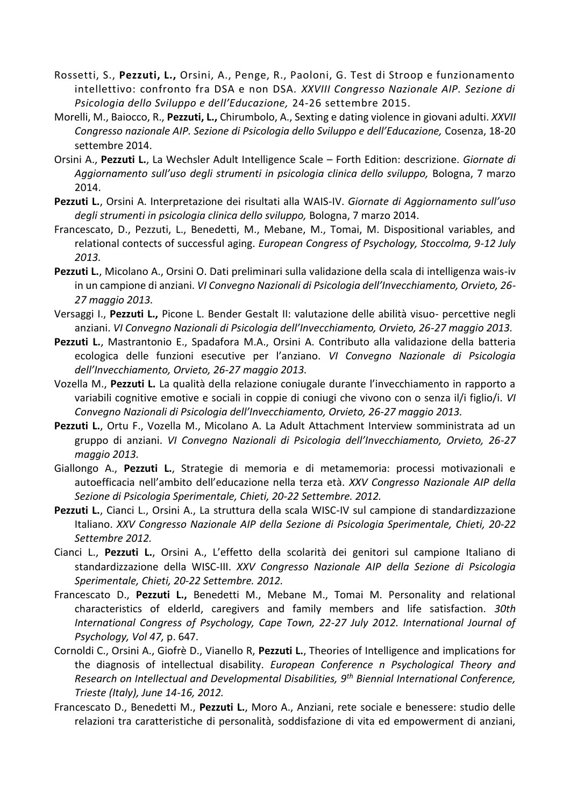- Rossetti, S., **Pezzuti, L.,** Orsini, A., Penge, R., Paoloni, G. Test di Stroop e funzionamento intellettivo: confronto fra DSA e non DSA. *XXVIII Congresso Nazionale AIP. Sezione di Psicologia dello Sviluppo e dell'Educazione,* 24-26 settembre 2015.
- Morelli, M., Baiocco, R., **Pezzuti, L.,** Chirumbolo, A., Sexting e dating violence in giovani adulti. *XXVII Congresso nazionale AIP. Sezione di Psicologia dello Sviluppo e dell'Educazione,* Cosenza, 18-20 settembre 2014.
- Orsini A., **Pezzuti L.**, La Wechsler Adult Intelligence Scale Forth Edition: descrizione. *Giornate di Aggiornamento sull'uso degli strumenti in psicologia clinica dello sviluppo,* Bologna, 7 marzo 2014.
- **Pezzuti L.**, Orsini A. Interpretazione dei risultati alla WAIS-IV. *Giornate di Aggiornamento sull'uso degli strumenti in psicologia clinica dello sviluppo,* Bologna, 7 marzo 2014.
- Francescato, D., Pezzuti, L., Benedetti, M., Mebane, M., Tomai, M. Dispositional variables, and relational contects of successful aging. *European Congress of Psychology, Stoccolma, 9-12 July 2013.*
- **Pezzuti L.**, Micolano A., Orsini O. Dati preliminari sulla validazione della scala di intelligenza wais-iv in un campione di anziani. *VI Convegno Nazionali di Psicologia dell'Invecchiamento, Orvieto, 26- 27 maggio 2013.*
- Versaggi I., **Pezzuti L.,** Picone L. Bender Gestalt II: valutazione delle abilità visuo- percettive negli anziani. *VI Convegno Nazionali di Psicologia dell'Invecchiamento, Orvieto, 26-27 maggio 2013.*
- **Pezzuti L.**, Mastrantonio E., Spadafora M.A., Orsini A. Contributo alla validazione della batteria ecologica delle funzioni esecutive per l'anziano. *VI Convegno Nazionale di Psicologia dell'Invecchiamento, Orvieto, 26-27 maggio 2013.*
- Vozella M., **Pezzuti L.** La qualità della relazione coniugale durante l'invecchiamento in rapporto a variabili cognitive emotive e sociali in coppie di coniugi che vivono con o senza il/i figlio/i. *VI Convegno Nazionali di Psicologia dell'Invecchiamento, Orvieto, 26-27 maggio 2013.*
- Pezzuti L., Ortu F., Vozella M., Micolano A. La Adult Attachment Interview somministrata ad un gruppo di anziani. *VI Convegno Nazionali di Psicologia dell'Invecchiamento, Orvieto, 26-27 maggio 2013.*
- Giallongo A., **Pezzuti L.**, Strategie di memoria e di metamemoria: processi motivazionali e autoefficacia nell'ambito dell'educazione nella terza età. *XXV Congresso Nazionale AIP della Sezione di Psicologia Sperimentale, Chieti, 20-22 Settembre. 2012.*
- **Pezzuti L.**, Cianci L., Orsini A., La struttura della scala WISC-IV sul campione di standardizzazione Italiano. *XXV Congresso Nazionale AIP della Sezione di Psicologia Sperimentale, Chieti, 20-22 Settembre 2012.*
- Cianci L., **Pezzuti L.**, Orsini A., L'effetto della scolarità dei genitori sul campione Italiano di standardizzazione della WISC-III. *XXV Congresso Nazionale AIP della Sezione di Psicologia Sperimentale, Chieti, 20-22 Settembre. 2012.*
- Francescato D., **Pezzuti L.,** Benedetti M., Mebane M., Tomai M. Personality and relational characteristics of elderld, caregivers and family members and life satisfaction. *30th International Congress of Psychology, Cape Town, 22-27 July 2012. International Journal of Psychology, Vol 47,* p. 647.
- Cornoldi C., Orsini A., Giofrè D., Vianello R, **Pezzuti L.**, Theories of Intelligence and implications for the diagnosis of intellectual disability. *European Conference n Psychological Theory and Research on Intellectual and Developmental Disabilities, 9th Biennial International Conference, Trieste (Italy), June 14-16, 2012.*
- Francescato D., Benedetti M., **Pezzuti L.**, Moro A., Anziani, rete sociale e benessere: studio delle relazioni tra caratteristiche di personalità, soddisfazione di vita ed empowerment di anziani,